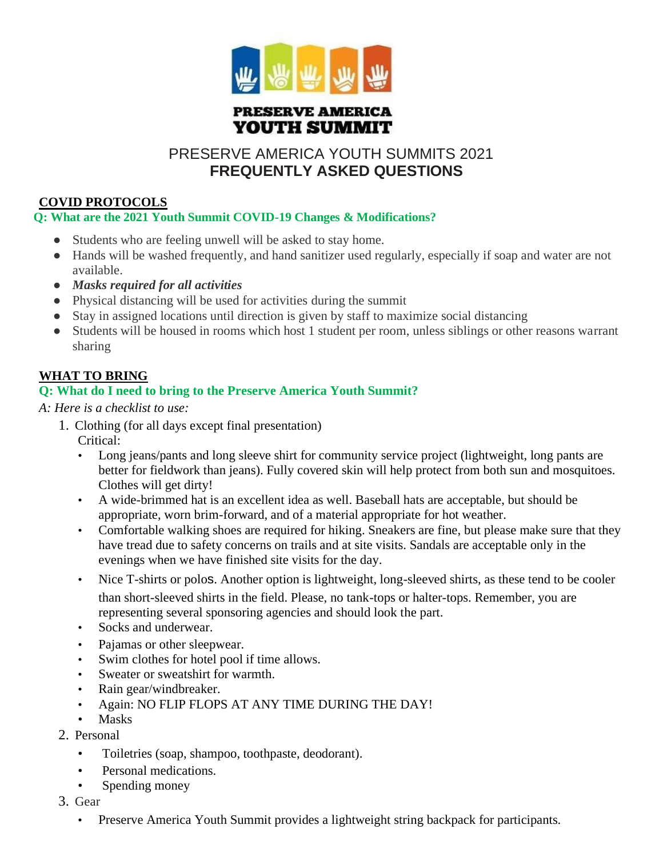

### **PRESERVE AMERICA** YOUTH SUMMIT

# PRESERVE AMERICA YOUTH SUMMITS 2021 **FREQUENTLY ASKED QUESTIONS**

# **COVID PROTOCOLS**

### **Q: What are the 2021 Youth Summit COVID-19 Changes & Modifications?**

- Students who are feeling unwell will be asked to stay home.
- Hands will be washed frequently, and hand sanitizer used regularly, especially if soap and water are not available.
- *Masks required for all activities*
- Physical distancing will be used for activities during the summit
- Stay in assigned locations until direction is given by staff to maximize social distancing
- Students will be housed in rooms which host 1 student per room, unless siblings or other reasons warrant sharing

# **WHAT TO BRING**

# **Q: What do I need to bring to the Preserve America Youth Summit?**

*A: Here is a checklist to use:*

- 1. Clothing (for all days except final presentation)
	- Critical:
	- Long jeans/pants and long sleeve shirt for community service project (lightweight, long pants are better for fieldwork than jeans). Fully covered skin will help protect from both sun and mosquitoes. Clothes will get dirty!
	- A wide-brimmed hat is an excellent idea as well. Baseball hats are acceptable, but should be appropriate, worn brim-forward, and of a material appropriate for hot weather.
	- Comfortable walking shoes are required for hiking. Sneakers are fine, but please make sure that they have tread due to safety concerns on trails and at site visits. Sandals are acceptable only in the evenings when we have finished site visits for the day.
	- Nice T-shirts or polos. Another option is lightweight, long-sleeved shirts, as these tend to be cooler than short-sleeved shirts in the field. Please, no tank-tops or halter-tops. Remember, you are representing several sponsoring agencies and should look the part.
	- Socks and underwear.
	- Pajamas or other sleepwear.
	- Swim clothes for hotel pool if time allows.
	- Sweater or sweatshirt for warmth.
	- Rain gear/windbreaker.
	- Again: NO FLIP FLOPS AT ANY TIME DURING THE DAY!
	- **Masks**
- 2. Personal
	- Toiletries (soap, shampoo, toothpaste, deodorant).
	- Personal medications.
	- Spending money
- 3. Gear
	- Preserve America Youth Summit provides a lightweight string backpack for participants.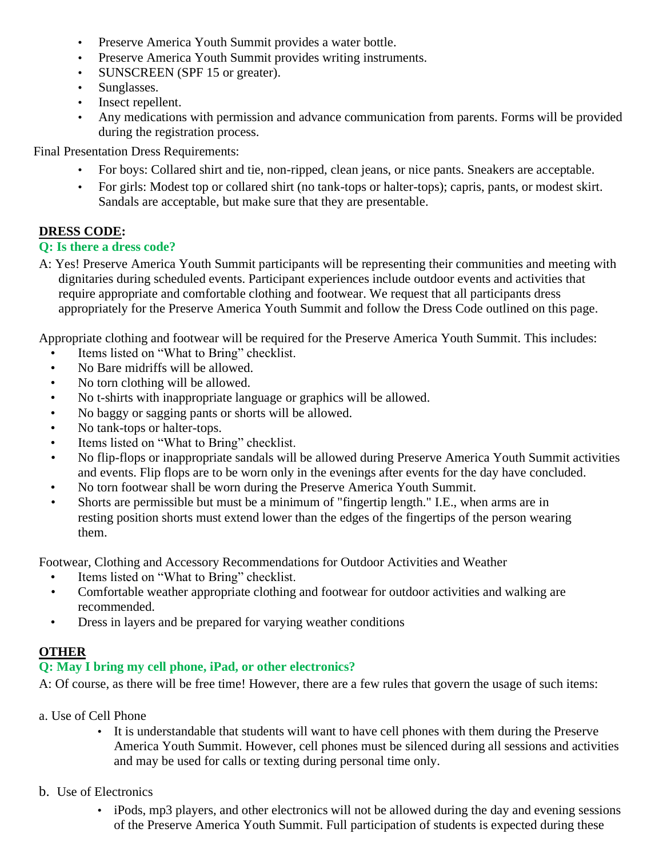- Preserve America Youth Summit provides a water bottle.
- Preserve America Youth Summit provides writing instruments.
- SUNSCREEN (SPF 15 or greater).
- Sunglasses.
- Insect repellent.
- Any medications with permission and advance communication from parents. Forms will be provided during the registration process.

Final Presentation Dress Requirements:

- For boys: Collared shirt and tie, non-ripped, clean jeans, or nice pants. Sneakers are acceptable.
- For girls: Modest top or collared shirt (no tank-tops or halter-tops); capris, pants, or modest skirt. Sandals are acceptable, but make sure that they are presentable.

# **DRESS CODE:**

### **Q: Is there a dress code?**

A: Yes! Preserve America Youth Summit participants will be representing their communities and meeting with dignitaries during scheduled events. Participant experiences include outdoor events and activities that require appropriate and comfortable clothing and footwear. We request that all participants dress appropriately for the Preserve America Youth Summit and follow the Dress Code outlined on this page.

Appropriate clothing and footwear will be required for the Preserve America Youth Summit. This includes:

- Items listed on "What to Bring" checklist.
- No Bare midriffs will be allowed.
- No torn clothing will be allowed.
- No t-shirts with inappropriate language or graphics will be allowed.
- No baggy or sagging pants or shorts will be allowed.
- No tank-tops or halter-tops.
- Items listed on "What to Bring" checklist.
- No flip-flops or inappropriate sandals will be allowed during Preserve America Youth Summit activities and events. Flip flops are to be worn only in the evenings after events for the day have concluded.
- No torn footwear shall be worn during the Preserve America Youth Summit.
- Shorts are permissible but must be a minimum of "fingertip length." I.E., when arms are in resting position shorts must extend lower than the edges of the fingertips of the person wearing them.

Footwear, Clothing and Accessory Recommendations for Outdoor Activities and Weather

- Items listed on "What to Bring" checklist.
- Comfortable weather appropriate clothing and footwear for outdoor activities and walking are recommended.
- Dress in layers and be prepared for varying weather conditions

# **OTHER**

# **Q: May I bring my cell phone, iPad, or other electronics?**

A: Of course, as there will be free time! However, there are a few rules that govern the usage of such items:

- a. Use of Cell Phone
	- It is understandable that students will want to have cell phones with them during the Preserve America Youth Summit. However, cell phones must be silenced during all sessions and activities and may be used for calls or texting during personal time only.
- b. Use of Electronics
	- iPods, mp3 players, and other electronics will not be allowed during the day and evening sessions of the Preserve America Youth Summit. Full participation of students is expected during these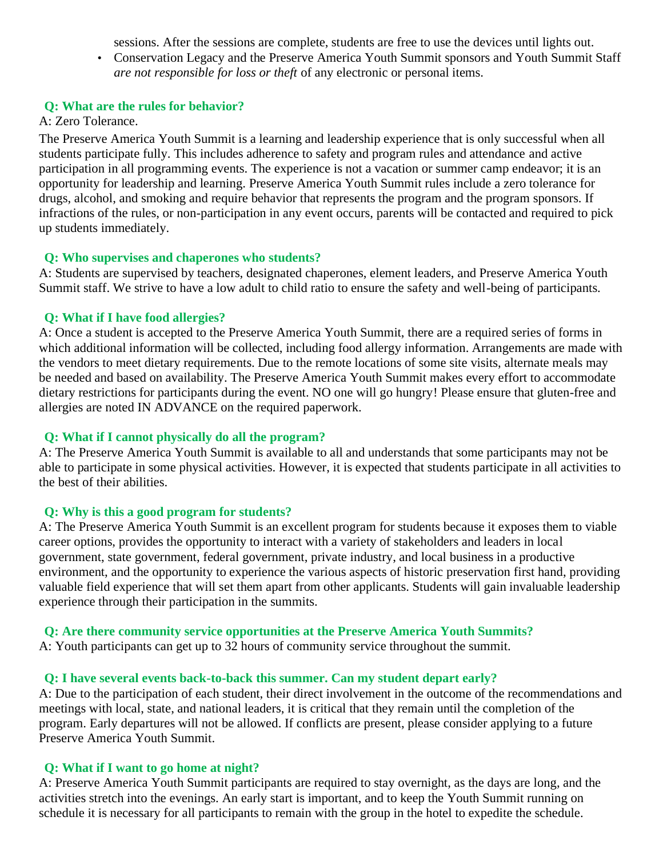sessions. After the sessions are complete, students are free to use the devices until lights out.

• Conservation Legacy and the Preserve America Youth Summit sponsors and Youth Summit Staff *are not responsible for loss or theft* of any electronic or personal items.

#### **Q: What are the rules for behavior?**

#### A: Zero Tolerance.

The Preserve America Youth Summit is a learning and leadership experience that is only successful when all students participate fully. This includes adherence to safety and program rules and attendance and active participation in all programming events. The experience is not a vacation or summer camp endeavor; it is an opportunity for leadership and learning. Preserve America Youth Summit rules include a zero tolerance for drugs, alcohol, and smoking and require behavior that represents the program and the program sponsors. If infractions of the rules, or non-participation in any event occurs, parents will be contacted and required to pick up students immediately.

#### **Q: Who supervises and chaperones who students?**

A: Students are supervised by teachers, designated chaperones, element leaders, and Preserve America Youth Summit staff. We strive to have a low adult to child ratio to ensure the safety and well-being of participants.

#### **Q: What if I have food allergies?**

A: Once a student is accepted to the Preserve America Youth Summit, there are a required series of forms in which additional information will be collected, including food allergy information. Arrangements are made with the vendors to meet dietary requirements. Due to the remote locations of some site visits, alternate meals may be needed and based on availability. The Preserve America Youth Summit makes every effort to accommodate dietary restrictions for participants during the event. NO one will go hungry! Please ensure that gluten-free and allergies are noted IN ADVANCE on the required paperwork.

#### **Q: What if I cannot physically do all the program?**

A: The Preserve America Youth Summit is available to all and understands that some participants may not be able to participate in some physical activities. However, it is expected that students participate in all activities to the best of their abilities.

#### **Q: Why is this a good program for students?**

A: The Preserve America Youth Summit is an excellent program for students because it exposes them to viable career options, provides the opportunity to interact with a variety of stakeholders and leaders in local government, state government, federal government, private industry, and local business in a productive environment, and the opportunity to experience the various aspects of historic preservation first hand, providing valuable field experience that will set them apart from other applicants. Students will gain invaluable leadership experience through their participation in the summits.

#### **Q: Are there community service opportunities at the Preserve America Youth Summits?**

A: Youth participants can get up to 32 hours of community service throughout the summit.

#### **Q: I have several events back-to-back this summer. Can my student depart early?**

A: Due to the participation of each student, their direct involvement in the outcome of the recommendations and meetings with local, state, and national leaders, it is critical that they remain until the completion of the program. Early departures will not be allowed. If conflicts are present, please consider applying to a future Preserve America Youth Summit.

#### **Q: What if I want to go home at night?**

A: Preserve America Youth Summit participants are required to stay overnight, as the days are long, and the activities stretch into the evenings. An early start is important, and to keep the Youth Summit running on schedule it is necessary for all participants to remain with the group in the hotel to expedite the schedule.